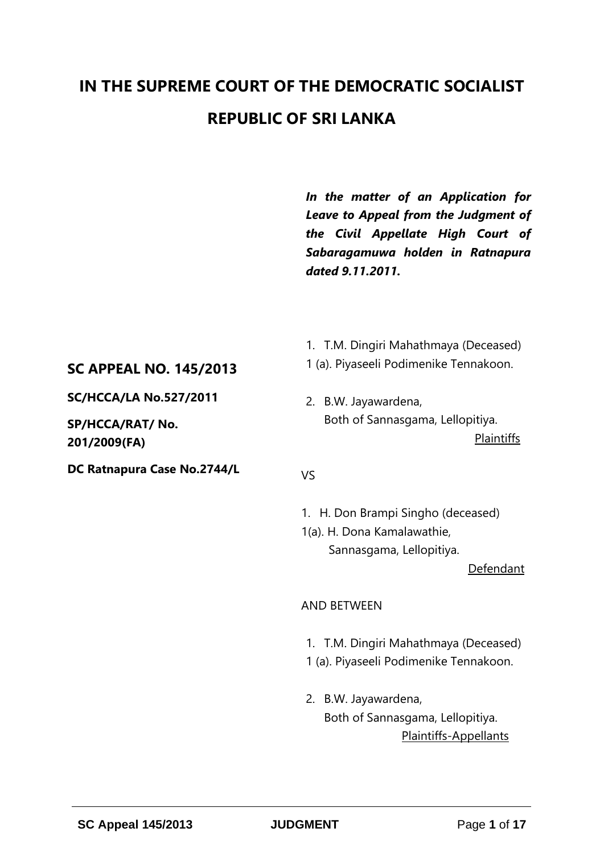# **IN THE SUPREME COURT OF THE DEMOCRATIC SOCIALIST REPUBLIC OF SRI LANKA**

*In the matter of an Application for Leave to Appeal from the Judgment of the Civil Appellate High Court of Sabaragamuwa holden in Ratnapura dated 9.11.2011.* 

## **SC APPEAL NO. 145/2013**

**SC/HCCA/LA No.527/2011**

**SP/HCCA/RAT/ No. 201/2009(FA)**

**DC Ratnapura Case No.2744/L**

- 1. T.M. Dingiri Mahathmaya (Deceased)
- 1 (a). Piyaseeli Podimenike Tennakoon.
- 2. B.W. Jayawardena, Both of Sannasgama, Lellopitiya. Plaintiffs

#### VS

1. H. Don Brampi Singho (deceased) 1(a). H. Dona Kamalawathie, Sannasgama, Lellopitiya.

Defendant

## AND BETWEEN

- 1. T.M. Dingiri Mahathmaya (Deceased)
- 1 (a). Piyaseeli Podimenike Tennakoon.
- 2. B.W. Jayawardena, Both of Sannasgama, Lellopitiya. Plaintiffs-Appellants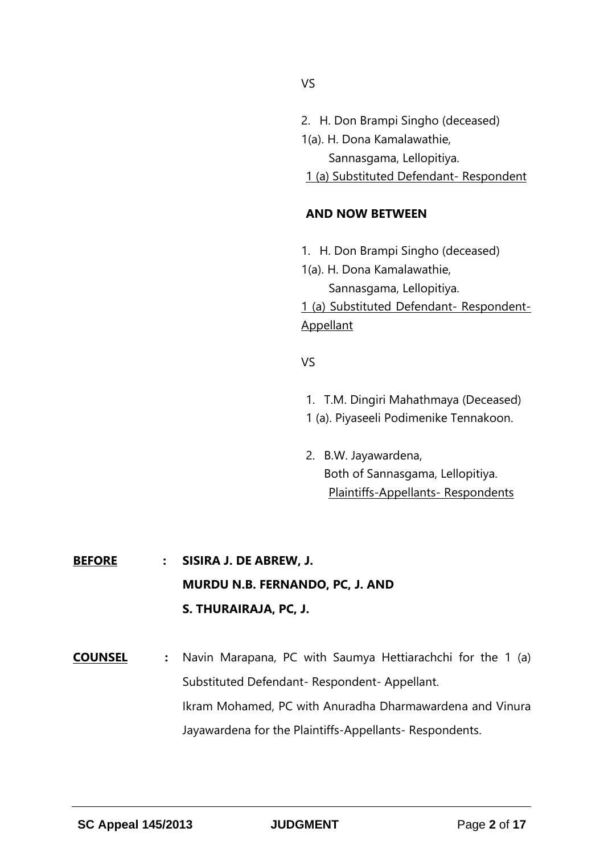- 2. H. Don Brampi Singho (deceased)
- 1(a). H. Dona Kamalawathie, Sannasgama, Lellopitiya.
- 1 (a) Substituted Defendant- Respondent

## **AND NOW BETWEEN**

- 1. H. Don Brampi Singho (deceased)
- 1(a). H. Dona Kamalawathie, Sannasgama, Lellopitiya.

1 (a) Substituted Defendant- Respondent-**Appellant** 

## VS

- 1. T.M. Dingiri Mahathmaya (Deceased)
- 1 (a). Piyaseeli Podimenike Tennakoon.
- 2. B.W. Jayawardena, Both of Sannasgama, Lellopitiya. Plaintiffs-Appellants- Respondents

**BEFORE : SISIRA J. DE ABREW, J. MURDU N.B. FERNANDO, PC, J. AND S. THURAIRAJA, PC, J.**

**COUNSEL :** Navin Marapana, PC with Saumya Hettiarachchi for the 1 (a) Substituted Defendant- Respondent- Appellant. Ikram Mohamed, PC with Anuradha Dharmawardena and Vinura Jayawardena for the Plaintiffs-Appellants- Respondents.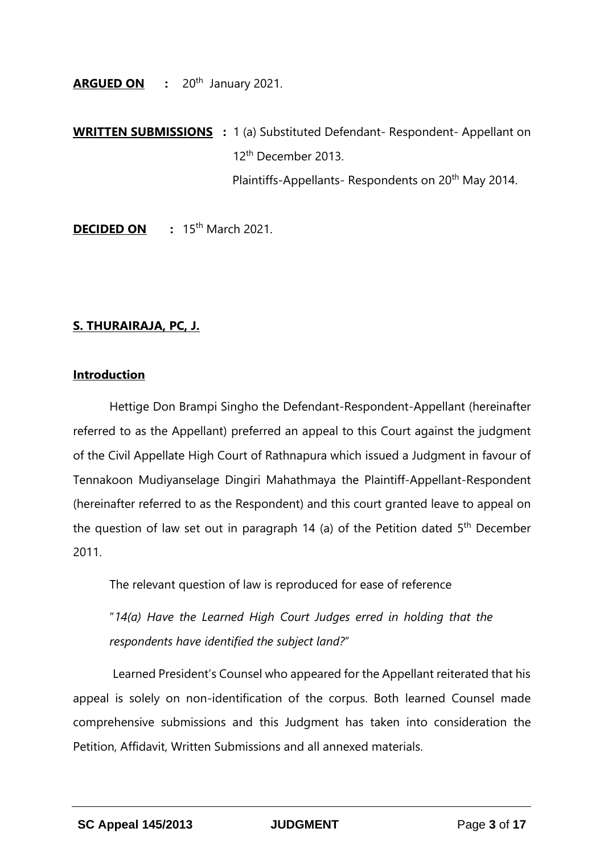**ARGUED ON :** 20th January 2021.

**WRITTEN SUBMISSIONS :** 1 (a) Substituted Defendant- Respondent- Appellant on 12th December 2013. Plaintiffs-Appellants- Respondents on 20<sup>th</sup> May 2014.

**DECIDED ON** : 15<sup>th</sup> March 2021.

## **S. THURAIRAJA, PC, J.**

## **Introduction**

Hettige Don Brampi Singho the Defendant-Respondent-Appellant (hereinafter referred to as the Appellant) preferred an appeal to this Court against the judgment of the Civil Appellate High Court of Rathnapura which issued a Judgment in favour of Tennakoon Mudiyanselage Dingiri Mahathmaya the Plaintiff-Appellant-Respondent (hereinafter referred to as the Respondent) and this court granted leave to appeal on the question of law set out in paragraph 14 (a) of the Petition dated  $5<sup>th</sup>$  December 2011.

The relevant question of law is reproduced for ease of reference

"*14(a) Have the Learned High Court Judges erred in holding that the respondents have identified the subject land?*"

Learned President's Counsel who appeared for the Appellant reiterated that his appeal is solely on non-identification of the corpus. Both learned Counsel made comprehensive submissions and this Judgment has taken into consideration the Petition, Affidavit, Written Submissions and all annexed materials.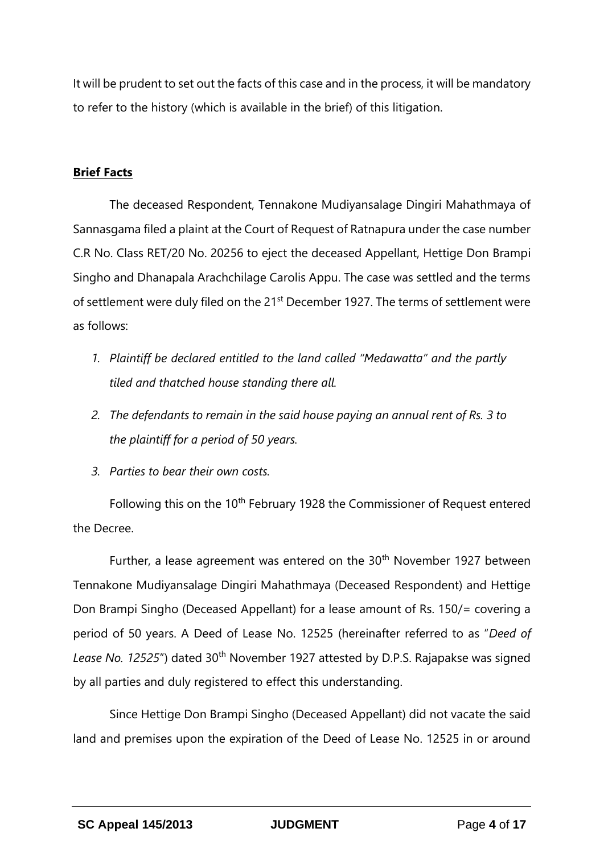It will be prudent to set out the facts of this case and in the process, it will be mandatory to refer to the history (which is available in the brief) of this litigation.

## **Brief Facts**

The deceased Respondent, Tennakone Mudiyansalage Dingiri Mahathmaya of Sannasgama filed a plaint at the Court of Request of Ratnapura under the case number C.R No. Class RET/20 No. 20256 to eject the deceased Appellant, Hettige Don Brampi Singho and Dhanapala Arachchilage Carolis Appu. The case was settled and the terms of settlement were duly filed on the 21<sup>st</sup> December 1927. The terms of settlement were as follows:

- 1. Plaintiff be declared entitled to the land called "Medawatta" and the partly *tiled and thatched house standing there all.*
- *2. The defendants to remain in the said house paying an annual rent of Rs. 3 to the plaintiff for a period of 50 years.*
- *3. Parties to bear their own costs.*

Following this on the 10<sup>th</sup> February 1928 the Commissioner of Request entered the Decree.

Further, a lease agreement was entered on the  $30<sup>th</sup>$  November 1927 between Tennakone Mudiyansalage Dingiri Mahathmaya (Deceased Respondent) and Hettige Don Brampi Singho (Deceased Appellant) for a lease amount of Rs. 150/= covering a period of 50 years. A Deed of Lease No. 12525 (hereinafter referred to as "*Deed of*  Lease No. 12525") dated 30<sup>th</sup> November 1927 attested by D.P.S. Rajapakse was signed by all parties and duly registered to effect this understanding.

Since Hettige Don Brampi Singho (Deceased Appellant) did not vacate the said land and premises upon the expiration of the Deed of Lease No. 12525 in or around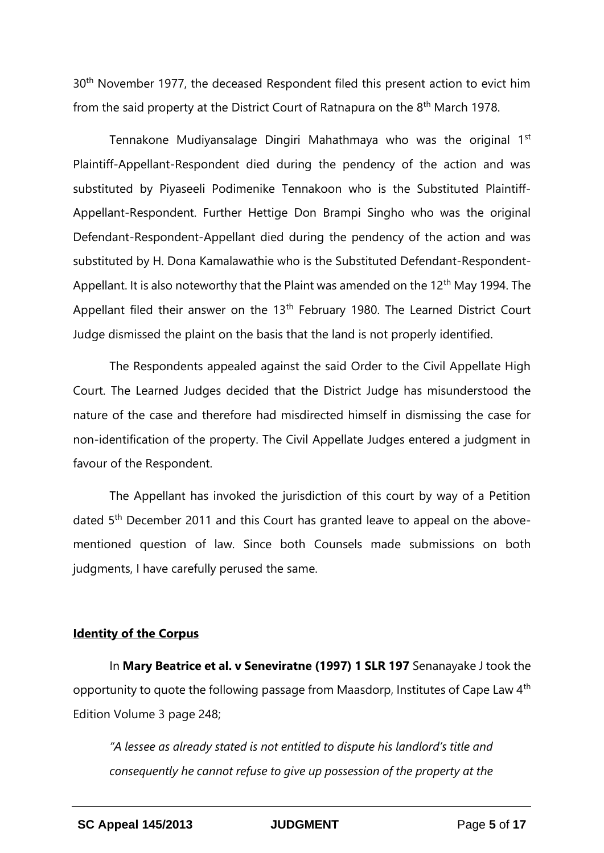30<sup>th</sup> November 1977, the deceased Respondent filed this present action to evict him from the said property at the District Court of Ratnapura on the 8th March 1978.

Tennakone Mudiyansalage Dingiri Mahathmaya who was the original 1<sup>st</sup> Plaintiff-Appellant-Respondent died during the pendency of the action and was substituted by Piyaseeli Podimenike Tennakoon who is the Substituted Plaintiff-Appellant-Respondent. Further Hettige Don Brampi Singho who was the original Defendant-Respondent-Appellant died during the pendency of the action and was substituted by H. Dona Kamalawathie who is the Substituted Defendant-Respondent-Appellant. It is also noteworthy that the Plaint was amended on the  $12<sup>th</sup>$  May 1994. The Appellant filed their answer on the 13<sup>th</sup> February 1980. The Learned District Court Judge dismissed the plaint on the basis that the land is not properly identified.

The Respondents appealed against the said Order to the Civil Appellate High Court. The Learned Judges decided that the District Judge has misunderstood the nature of the case and therefore had misdirected himself in dismissing the case for non-identification of the property. The Civil Appellate Judges entered a judgment in favour of the Respondent.

The Appellant has invoked the jurisdiction of this court by way of a Petition dated 5<sup>th</sup> December 2011 and this Court has granted leave to appeal on the abovementioned question of law. Since both Counsels made submissions on both judgments, I have carefully perused the same.

#### **Identity of the Corpus**

In **Mary Beatrice et al. v Seneviratne (1997) 1 SLR 197** Senanayake J took the opportunity to quote the following passage from Maasdorp, Institutes of Cape Law 4th Edition Volume 3 page 248;

*"A lessee as already stated is not entitled to dispute his landlord's title and consequently he cannot refuse to give up possession of the property at the*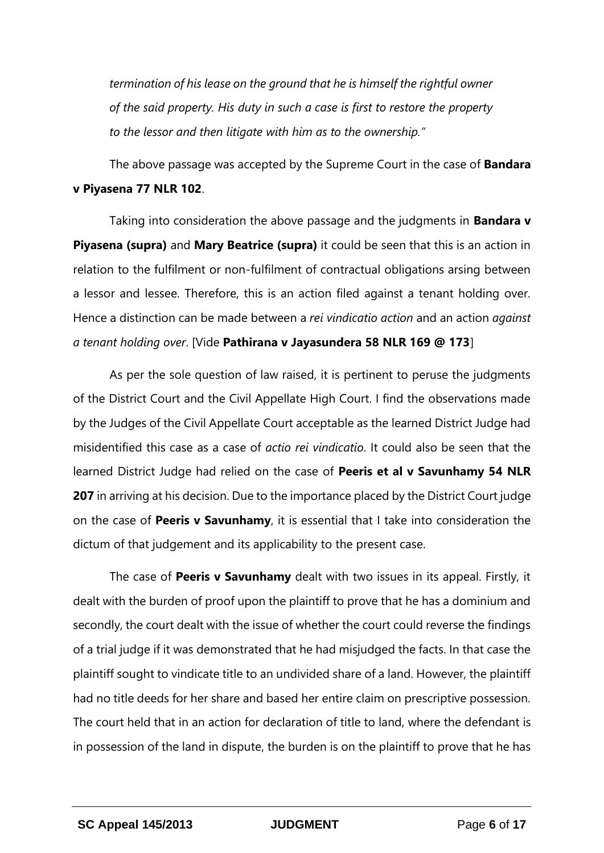*termination of his lease on the ground that he is himself the rightful owner of the said property. His duty in such a case is first to restore the property to the lessor and then litigate with him as to the ownership."* 

The above passage was accepted by the Supreme Court in the case of **Bandara v Piyasena 77 NLR 102**.

Taking into consideration the above passage and the judgments in **Bandara v Piyasena (supra)** and **Mary Beatrice (supra)** it could be seen that this is an action in relation to the fulfilment or non-fulfilment of contractual obligations arsing between a lessor and lessee. Therefore, this is an action filed against a tenant holding over. Hence a distinction can be made between a *rei vindicatio action* and an action *against a tenant holding over*. [Vide **Pathirana v Jayasundera 58 NLR 169 @ 173**]

As per the sole question of law raised, it is pertinent to peruse the judgments of the District Court and the Civil Appellate High Court. I find the observations made by the Judges of the Civil Appellate Court acceptable as the learned District Judge had misidentified this case as a case of *actio rei vindicatio*. It could also be seen that the learned District Judge had relied on the case of **Peeris et al v Savunhamy 54 NLR 207** in arriving at his decision. Due to the importance placed by the District Court judge on the case of **Peeris v Savunhamy**, it is essential that I take into consideration the dictum of that judgement and its applicability to the present case.

The case of **Peeris v Savunhamy** dealt with two issues in its appeal. Firstly, it dealt with the burden of proof upon the plaintiff to prove that he has a dominium and secondly, the court dealt with the issue of whether the court could reverse the findings of a trial judge if it was demonstrated that he had misjudged the facts. In that case the plaintiff sought to vindicate title to an undivided share of a land. However, the plaintiff had no title deeds for her share and based her entire claim on prescriptive possession. The court held that in an action for declaration of title to land, where the defendant is in possession of the land in dispute, the burden is on the plaintiff to prove that he has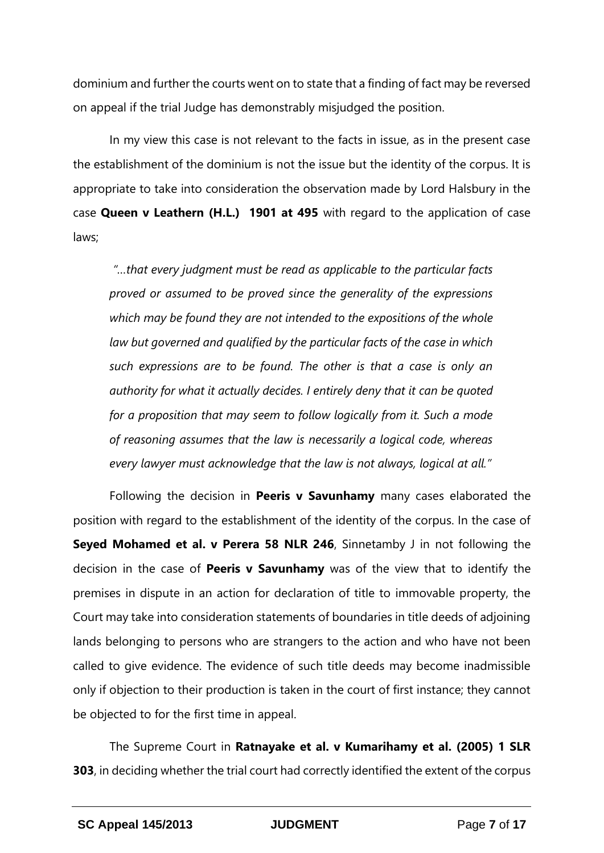dominium and further the courts went on to state that a finding of fact may be reversed on appeal if the trial Judge has demonstrably misjudged the position.

In my view this case is not relevant to the facts in issue, as in the present case the establishment of the dominium is not the issue but the identity of the corpus. It is appropriate to take into consideration the observation made by Lord Halsbury in the case **Queen v Leathern (H.L.) 1901 at 495** with regard to the application of case laws;

*"…that every judgment must be read as applicable to the particular facts proved or assumed to be proved since the generality of the expressions which may be found they are not intended to the expositions of the whole law but governed and qualified by the particular facts of the case in which such expressions are to be found. The other is that a case is only an authority for what it actually decides. I entirely deny that it can be quoted for a proposition that may seem to follow logically from it. Such a mode of reasoning assumes that the law is necessarily a logical code, whereas every lawyer must acknowledge that the law is not always, logical at all."*

Following the decision in **Peeris v Savunhamy** many cases elaborated the position with regard to the establishment of the identity of the corpus. In the case of **Seyed Mohamed et al. v Perera 58 NLR 246**, Sinnetamby J in not following the decision in the case of **Peeris v Savunhamy** was of the view that to identify the premises in dispute in an action for declaration of title to immovable property, the Court may take into consideration statements of boundaries in title deeds of adjoining lands belonging to persons who are strangers to the action and who have not been called to give evidence. The evidence of such title deeds may become inadmissible only if objection to their production is taken in the court of first instance; they cannot be objected to for the first time in appeal.

The Supreme Court in **Ratnayake et al. v Kumarihamy et al. (2005) 1 SLR 303**, in deciding whether the trial court had correctly identified the extent of the corpus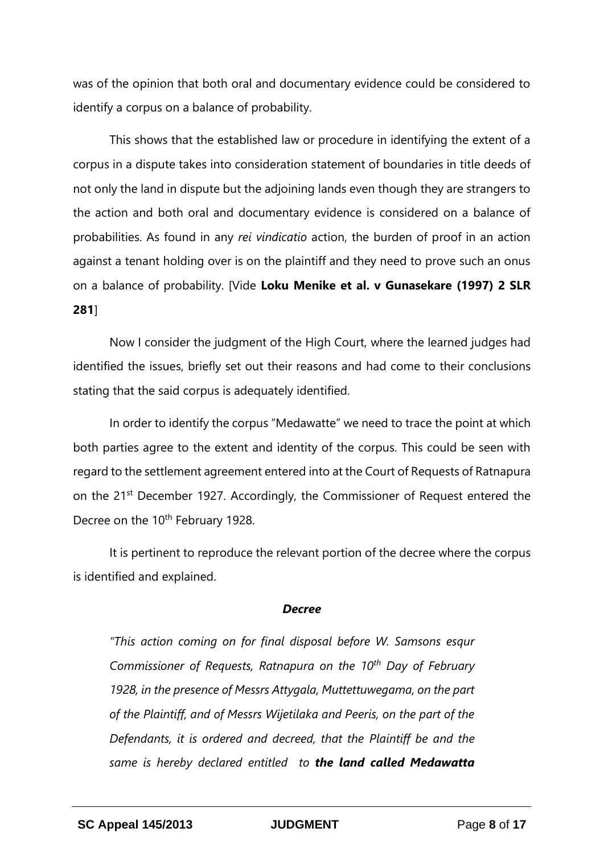was of the opinion that both oral and documentary evidence could be considered to identify a corpus on a balance of probability.

This shows that the established law or procedure in identifying the extent of a corpus in a dispute takes into consideration statement of boundaries in title deeds of not only the land in dispute but the adjoining lands even though they are strangers to the action and both oral and documentary evidence is considered on a balance of probabilities. As found in any *rei vindicatio* action, the burden of proof in an action against a tenant holding over is on the plaintiff and they need to prove such an onus on a balance of probability. [Vide **Loku Menike et al. v Gunasekare (1997) 2 SLR 281**]

Now I consider the judgment of the High Court, where the learned judges had identified the issues, briefly set out their reasons and had come to their conclusions stating that the said corpus is adequately identified.

In order to identify the corpus "Medawatte" we need to trace the point at which both parties agree to the extent and identity of the corpus. This could be seen with regard to the settlement agreement entered into at the Court of Requests of Ratnapura on the 21<sup>st</sup> December 1927. Accordingly, the Commissioner of Request entered the Decree on the 10<sup>th</sup> February 1928.

It is pertinent to reproduce the relevant portion of the decree where the corpus is identified and explained.

#### *Decree*

*"This action coming on for final disposal before W. Samsons esqur Commissioner of Requests, Ratnapura on the 10th Day of February 1928, in the presence of Messrs Attygala, Muttettuwegama, on the part of the Plaintiff, and of Messrs Wijetilaka and Peeris, on the part of the Defendants, it is ordered and decreed, that the Plaintiff be and the same is hereby declared entitled to the land called Medawatta*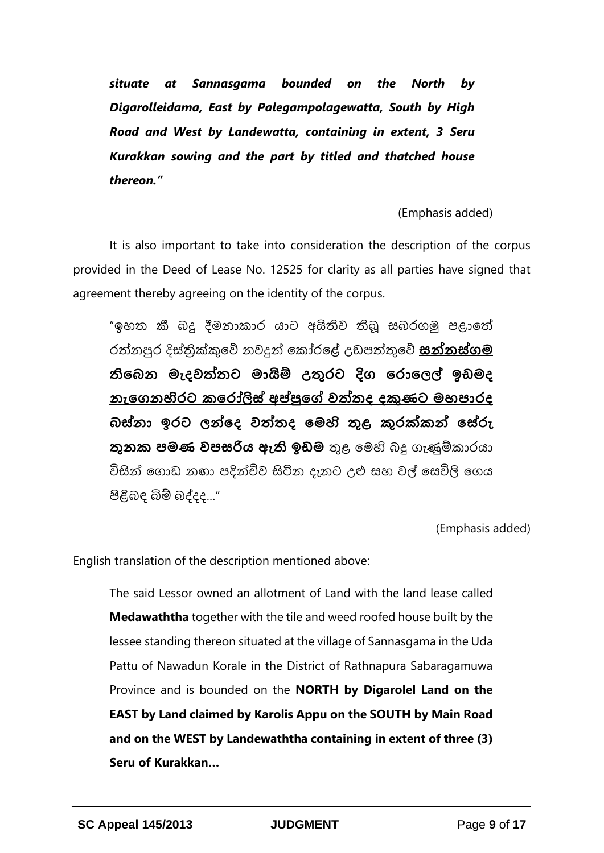*situate at Sannasgama bounded on the North by Digarolleidama, East by Palegampolagewatta, South by High Road and West by Landewatta, containing in extent, 3 Seru Kurakkan sowing and the part by titled and thatched house thereon."* 

(Emphasis added)

It is also important to take into consideration the description of the corpus provided in the Deed of Lease No. 12525 for clarity as all parties have signed that agreement thereby agreeing on the identity of the corpus.

"ඉහත කී බදු දීමනාකාර යාට අයිතිව තිබූ සබරගමු පළාතේ රේනපුර දිස්ත්රික්කුතේ නවදුන් තකෝරතේ උඩපේුතේ **සන්නස්ගම තිබෙන මැදවත්තට මායිම් උතුරට දිග බරාබෙල් ඉඩමද නැබගනහිරට කබරෝලිස් අප්පුබේ වත්තද දකුණට මහපාරද ෙස්නා ඉරට ෙන්බද වත්තද බමහි තුළ කුරක්කන් බස්රු තුනක පමණ වපසරිය ඇති ඉඩම** ුළ තමහි බදු ගැණුම්කාරයා විසින් ගොඩ නඟා පදින්චිව සිටින දැනට උළු සහ වල් සෙවිලි ගෙය පිළිබඳ බිම් බද්දද…"

(Emphasis added)

English translation of the description mentioned above:

The said Lessor owned an allotment of Land with the land lease called **Medawaththa** together with the tile and weed roofed house built by the lessee standing thereon situated at the village of Sannasgama in the Uda Pattu of Nawadun Korale in the District of Rathnapura Sabaragamuwa Province and is bounded on the **NORTH by Digarolel Land on the EAST by Land claimed by Karolis Appu on the SOUTH by Main Road and on the WEST by Landewaththa containing in extent of three (3) Seru of Kurakkan…**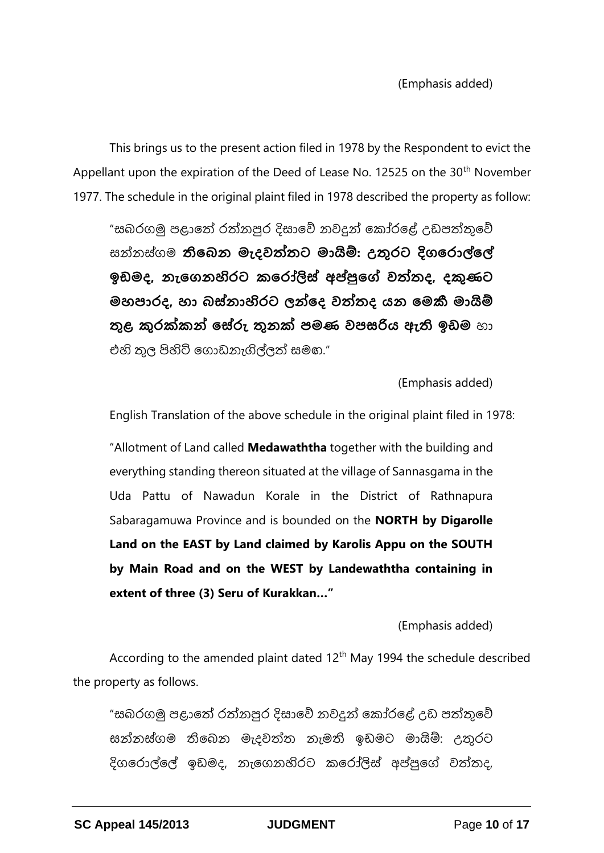This brings us to the present action filed in 1978 by the Respondent to evict the Appellant upon the expiration of the Deed of Lease No. 12525 on the 30<sup>th</sup> November 1977. The schedule in the original plaint filed in 1978 described the property as follow:

"සබරගමු පළාතේ රත්නපුර දිසාවේ නවදුන් කෝරළේ උඩපත්තුවේ සන්නස්ත්රගම **තිබෙන මැදවත්තට මායිම්: උතුරට දිගබරාල්බල් ඉඩමද, නැබගනහිරට කබරෝලිස් අප්පුබේ වත්තද, දකුණට මහපාරද, හා ෙස්නාහිරට ෙන්බද වත්තද යන බමකී මායිම් තුළ කුරක්කන් බස්රු තුනක් පමණ වපසරිය ඇති ඉඩම** හා එහි තල පිහිටි ගොඩනැගිල්ලුත් සමග."

(Emphasis added)

English Translation of the above schedule in the original plaint filed in 1978:

"Allotment of Land called **Medawaththa** together with the building and everything standing thereon situated at the village of Sannasgama in the Uda Pattu of Nawadun Korale in the District of Rathnapura Sabaragamuwa Province and is bounded on the **NORTH by Digarolle Land on the EAST by Land claimed by Karolis Appu on the SOUTH by Main Road and on the WEST by Landewaththa containing in extent of three (3) Seru of Kurakkan…"**

(Emphasis added)

According to the amended plaint dated  $12<sup>th</sup>$  May 1994 the schedule described the property as follows.

"සබරගමු පළාතේ රත්නපුර දිසාවේ නවදුන් කෝරළේ උඩ පත්තුවේ සන්නස්ගම තිබෙන මැදවත්ත නැමති ඉඩමට මායිම්: උතුරට දිගරොල්ලේ ඉඩමද, නැගෙනහිරට කරෝලිස් අප්පුගේ වත්තද,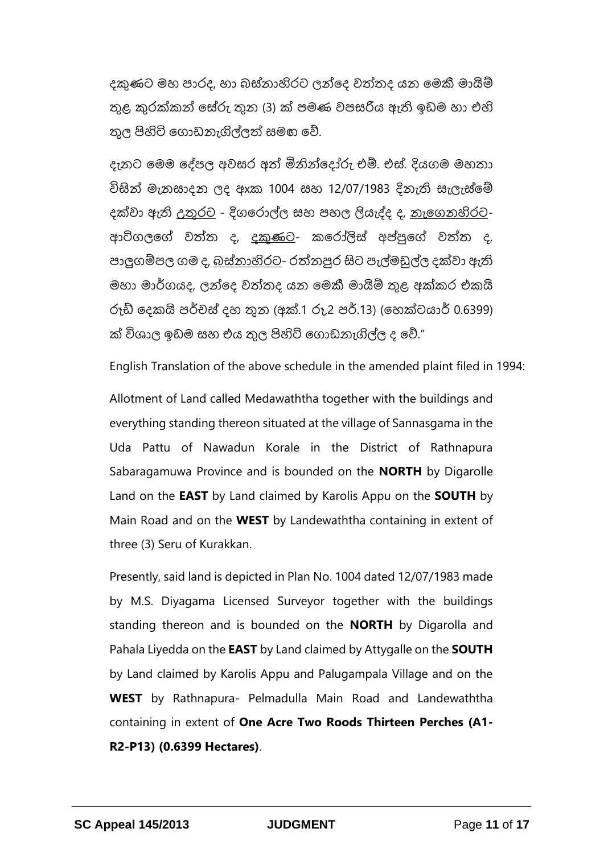දකුණට මහ පාරද, හා බස්තාහිරට ලන්දෙ වත්තද යන මෙකී මායිම් තුළ කරක්කන් සේරු තුන (3) ක් පමණ වපසරිය ඇති ඉඩම හා එහි ුල පිහිටි තගාඩනැගිල්ලේ සමඟ තේ.

දැනට මෙම දේපල අවසර අත් මිනින්දෝරු එම්. එස්. දියගම මහතා විසින් මැනසාදන ලද ඇක 1004 සහ 12/07/1983 දිනැති සැලැස්මේ දක්වා ඇති <u>උතුරට</u> - දිගරොල්ල සහ පහල ලියැද්ද ද, <u>නැගෙනහිරට</u>-ආටිගලගේ වත්ත ද, <u>දකුණට</u>- කරෝලිස් අප්පුගේ වත්ත ද, පාලුගම්පල ගම ද, <u>බස්තාහිරට</u>- රත්නපුර සිට පැල්මඩුල්ල දක්වා ඇති මහා මාර්ගයද, ලන්දෙ වත්තද යන මෙකී මායිම් තුළ අක්කර එකයි රූඩ් දෙකයි පර්චස් දහ තුන (අක්.1 රු.2 පර්.13) (හෙක්ටයාර් 0.6399) ක් විශාල ඉඩම සහ එය තුල පිහිටි ගොඩනැගිල්ල ද වේ."

English Translation of the above schedule in the amended plaint filed in 1994:

Allotment of Land called Medawaththa together with the buildings and everything standing thereon situated at the village of Sannasgama in the Uda Pattu of Nawadun Korale in the District of Rathnapura Sabaragamuwa Province and is bounded on the **NORTH** by Digarolle Land on the **EAST** by Land claimed by Karolis Appu on the **SOUTH** by Main Road and on the **WEST** by Landewaththa containing in extent of three (3) Seru of Kurakkan.

Presently, said land is depicted in Plan No. 1004 dated 12/07/1983 made by M.S. Diyagama Licensed Surveyor together with the buildings standing thereon and is bounded on the **NORTH** by Digarolla and Pahala Liyedda on the **EAST** by Land claimed by Attygalle on the **SOUTH** by Land claimed by Karolis Appu and Palugampala Village and on the **WEST** by Rathnapura- Pelmadulla Main Road and Landewaththa containing in extent of **One Acre Two Roods Thirteen Perches (A1- R2-P13) (0.6399 Hectares)**.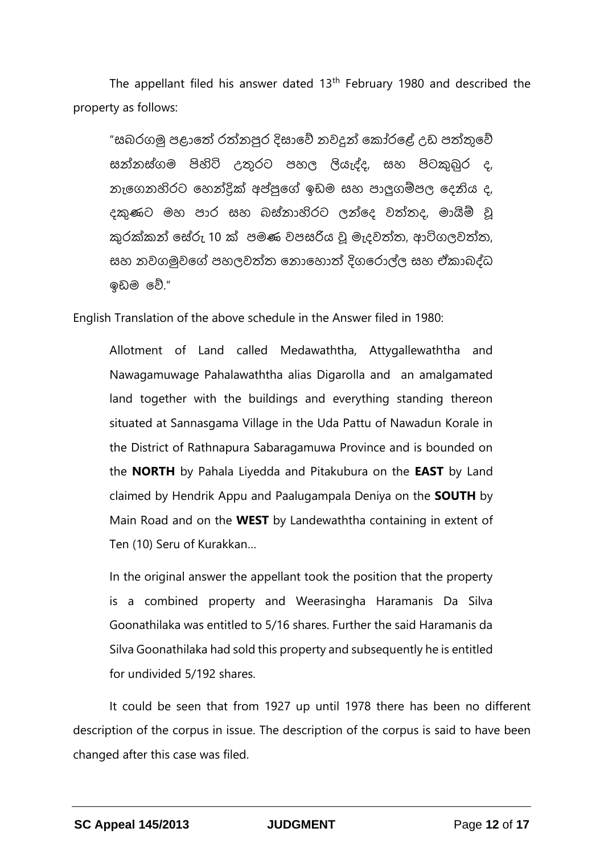The appellant filed his answer dated  $13<sup>th</sup>$  February 1980 and described the property as follows:

"සබරගමු පළාතේ රත්නපුර දිසාවේ නවදුන් කෝරළේ උඩ පත්තුවේ සන්නස්ත්රගම පිහිටි උුරට පහල ලියැද්ද, සහ පිටුබුර ද, නැතගනහිරට තහන්ික්ක අප්පපුතේ ඉඩම සහ පාලුගම්පල තදනිය ද, දකුණට මහ පාර සහ බස්තාහිරට ලන්දෙ වත්තද, මායිම් වූ කුරක්කන් සේරු 10 ක් පමණ වපසරිය වූ මැදවත්ත, ආටිගලවත්ත, සහ නවගමුවතේ පහලවේත තනාතහාේ දිගතරාල්ල සහ ඒකාබද්ධ ඉඩම තේ."

English Translation of the above schedule in the Answer filed in 1980:

Allotment of Land called Medawaththa, Attygallewaththa and Nawagamuwage Pahalawaththa alias Digarolla and an amalgamated land together with the buildings and everything standing thereon situated at Sannasgama Village in the Uda Pattu of Nawadun Korale in the District of Rathnapura Sabaragamuwa Province and is bounded on the **NORTH** by Pahala Liyedda and Pitakubura on the **EAST** by Land claimed by Hendrik Appu and Paalugampala Deniya on the **SOUTH** by Main Road and on the **WEST** by Landewaththa containing in extent of Ten (10) Seru of Kurakkan…

In the original answer the appellant took the position that the property is a combined property and Weerasingha Haramanis Da Silva Goonathilaka was entitled to 5/16 shares. Further the said Haramanis da Silva Goonathilaka had sold this property and subsequently he is entitled for undivided 5/192 shares.

It could be seen that from 1927 up until 1978 there has been no different description of the corpus in issue. The description of the corpus is said to have been changed after this case was filed.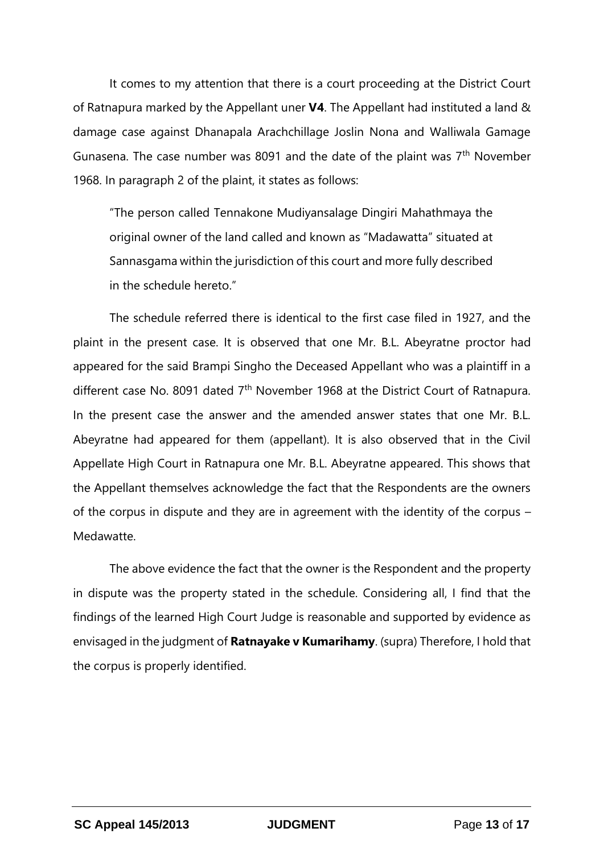It comes to my attention that there is a court proceeding at the District Court of Ratnapura marked by the Appellant uner **V4**. The Appellant had instituted a land & damage case against Dhanapala Arachchillage Joslin Nona and Walliwala Gamage Gunasena. The case number was 8091 and the date of the plaint was  $7<sup>th</sup>$  November 1968. In paragraph 2 of the plaint, it states as follows:

"The person called Tennakone Mudiyansalage Dingiri Mahathmaya the original owner of the land called and known as "Madawatta" situated at Sannasgama within the jurisdiction of this court and more fully described in the schedule hereto."

The schedule referred there is identical to the first case filed in 1927, and the plaint in the present case. It is observed that one Mr. B.L. Abeyratne proctor had appeared for the said Brampi Singho the Deceased Appellant who was a plaintiff in a different case No. 8091 dated  $7<sup>th</sup>$  November 1968 at the District Court of Ratnapura. In the present case the answer and the amended answer states that one Mr. B.L. Abeyratne had appeared for them (appellant). It is also observed that in the Civil Appellate High Court in Ratnapura one Mr. B.L. Abeyratne appeared. This shows that the Appellant themselves acknowledge the fact that the Respondents are the owners of the corpus in dispute and they are in agreement with the identity of the corpus – Medawatte.

The above evidence the fact that the owner is the Respondent and the property in dispute was the property stated in the schedule. Considering all, I find that the findings of the learned High Court Judge is reasonable and supported by evidence as envisaged in the judgment of **Ratnayake v Kumarihamy**. (supra) Therefore, I hold that the corpus is properly identified.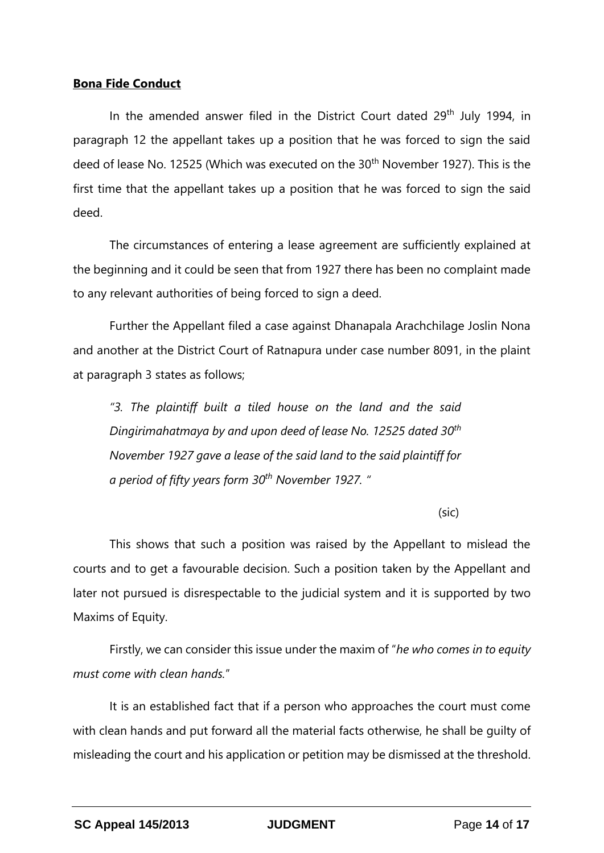#### **Bona Fide Conduct**

In the amended answer filed in the District Court dated 29<sup>th</sup> July 1994, in paragraph 12 the appellant takes up a position that he was forced to sign the said deed of lease No. 12525 (Which was executed on the 30<sup>th</sup> November 1927). This is the first time that the appellant takes up a position that he was forced to sign the said deed.

The circumstances of entering a lease agreement are sufficiently explained at the beginning and it could be seen that from 1927 there has been no complaint made to any relevant authorities of being forced to sign a deed.

Further the Appellant filed a case against Dhanapala Arachchilage Joslin Nona and another at the District Court of Ratnapura under case number 8091, in the plaint at paragraph 3 states as follows;

*"3. The plaintiff built a tiled house on the land and the said Dingirimahatmaya by and upon deed of lease No. 12525 dated 30th November 1927 gave a lease of the said land to the said plaintiff for a period of fifty years form 30th November 1927. "*

(sic)

This shows that such a position was raised by the Appellant to mislead the courts and to get a favourable decision. Such a position taken by the Appellant and later not pursued is disrespectable to the judicial system and it is supported by two Maxims of Equity.

Firstly, we can consider this issue under the maxim of "*he who comes in to equity must come with clean hands.*"

It is an established fact that if a person who approaches the court must come with clean hands and put forward all the material facts otherwise, he shall be guilty of misleading the court and his application or petition may be dismissed at the threshold.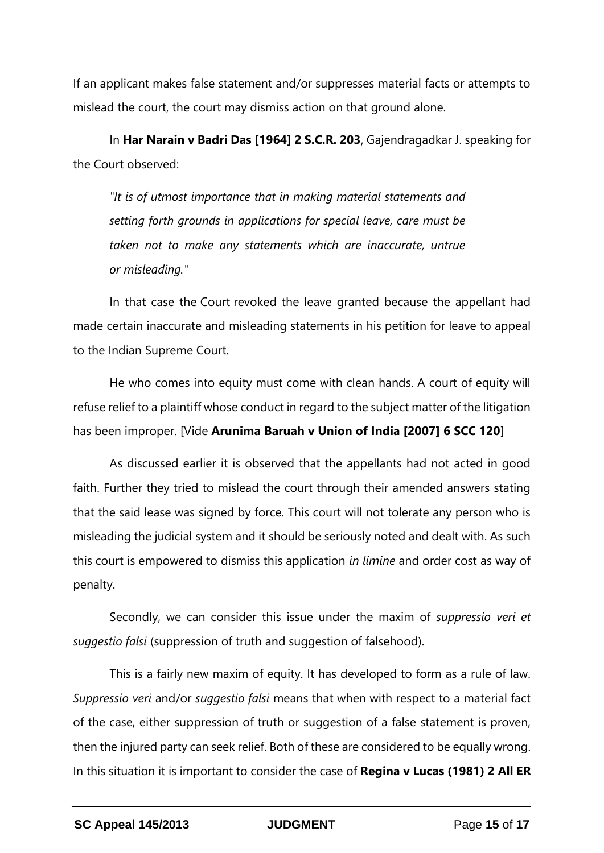If an applicant makes false statement and/or suppresses material facts or attempts to mislead the court, the court may dismiss action on that ground alone.

In **Har Narain v Badri Das [1964] 2 S.C.R. 203**, Gajendragadkar J. speaking for the Court observed:

*"It is of utmost importance that in making material statements and setting forth grounds in applications for special leave, care must be taken not to make any statements which are inaccurate, untrue or misleading."* 

In that case the Court revoked the leave granted because the appellant had made certain inaccurate and misleading statements in his petition for leave to appeal to the Indian Supreme Court.

He who comes into equity must come with clean hands. A court of equity will refuse relief to a plaintiff whose conduct in regard to the subject matter of the litigation has been improper. [Vide **Arunima Baruah v Union of India [2007] 6 SCC 120**]

As discussed earlier it is observed that the appellants had not acted in good faith. Further they tried to mislead the court through their amended answers stating that the said lease was signed by force. This court will not tolerate any person who is misleading the judicial system and it should be seriously noted and dealt with. As such this court is empowered to dismiss this application *in limine* and order cost as way of penalty.

Secondly, we can consider this issue under the maxim of *suppressio veri et suggestio falsi* (suppression of truth and suggestion of falsehood).

This is a fairly new maxim of equity. It has developed to form as a rule of law. *Suppressio veri* and/or *suggestio falsi* means that when with respect to a material fact of the case, either suppression of truth or suggestion of a false statement is proven, then the injured party can seek relief. Both of these are considered to be equally wrong. In this situation it is important to consider the case of **Regina v Lucas (1981) 2 All ER**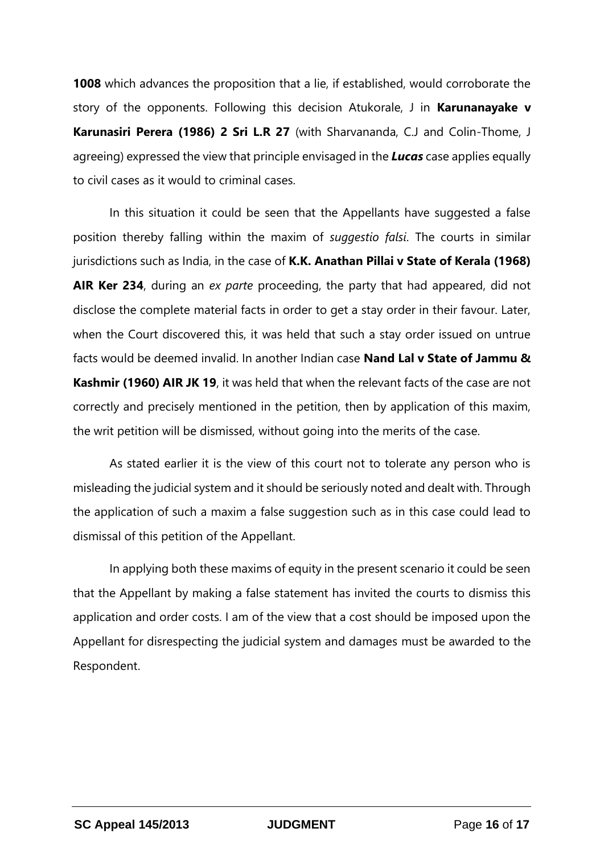**1008** which advances the proposition that a lie, if established, would corroborate the story of the opponents. Following this decision Atukorale, J in **Karunanayake v Karunasiri Perera (1986) 2 Sri L.R 27** (with Sharvananda, C.J and Colin-Thome, J agreeing) expressed the view that principle envisaged in the *Lucas* case applies equally to civil cases as it would to criminal cases.

In this situation it could be seen that the Appellants have suggested a false position thereby falling within the maxim of *suggestio falsi*. The courts in similar jurisdictions such as India, in the case of **K.K. Anathan Pillai v State of Kerala (1968) AIR Ker 234**, during an *ex parte* proceeding, the party that had appeared, did not disclose the complete material facts in order to get a stay order in their favour. Later, when the Court discovered this, it was held that such a stay order issued on untrue facts would be deemed invalid. In another Indian case **Nand Lal v State of Jammu & Kashmir (1960) AIR JK 19**, it was held that when the relevant facts of the case are not correctly and precisely mentioned in the petition, then by application of this maxim, the writ petition will be dismissed, without going into the merits of the case.

As stated earlier it is the view of this court not to tolerate any person who is misleading the judicial system and it should be seriously noted and dealt with. Through the application of such a maxim a false suggestion such as in this case could lead to dismissal of this petition of the Appellant.

In applying both these maxims of equity in the present scenario it could be seen that the Appellant by making a false statement has invited the courts to dismiss this application and order costs. I am of the view that a cost should be imposed upon the Appellant for disrespecting the judicial system and damages must be awarded to the Respondent.